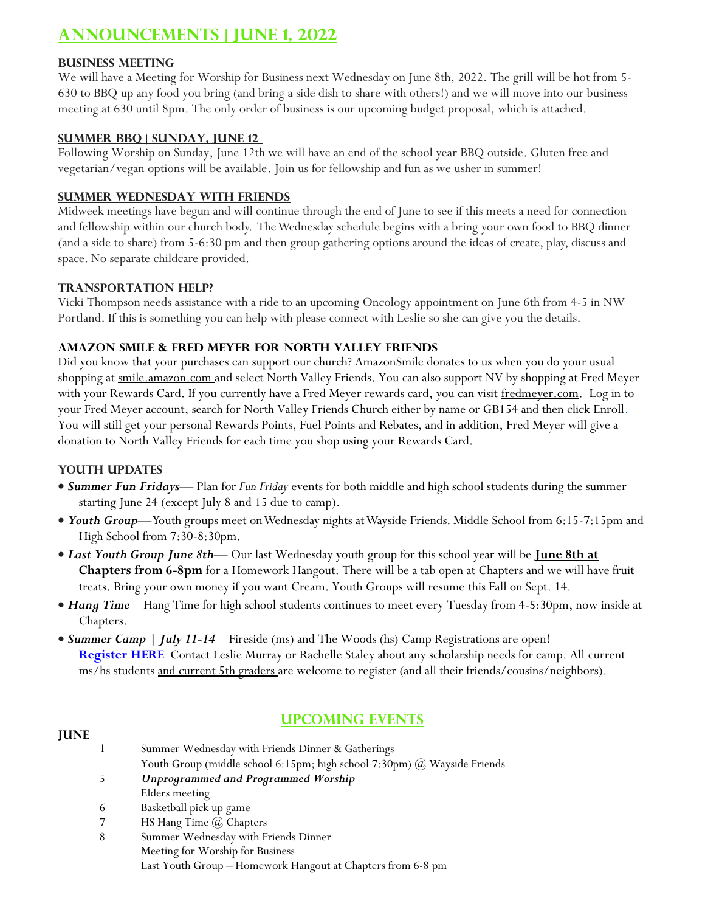# **Announcements | June 1, 2022**

# **Business Meeting**

We will have a Meeting for Worship for Business next Wednesday on June 8th, 2022. The grill will be hot from 5- 630 to BBQ up any food you bring (and bring a side dish to share with others!) and we will move into our business meeting at 630 until 8pm. The only order of business is our upcoming budget proposal, which is attached.

#### **Summer BBQ | Sunday, June 12**

Following Worship on Sunday, June 12th we will have an end of the school year BBQ outside. Gluten free and vegetarian/vegan options will be available. Join us for fellowship and fun as we usher in summer!

### **Summer Wednesday with Friends**

Midweek meetings have begun and will continue through the end of June to see if this meets a need for connection and fellowship within our church body. The Wednesday schedule begins with a bring your own food to BBQ dinner (and a side to share) from 5-6:30 pm and then group gathering options around the ideas of create, play, discuss and space. No separate childcare provided.

### **Transportation Help?**

Vicki Thompson needs assistance with a ride to an upcoming Oncology appointment on June 6th from 4-5 in NW Portland. If this is something you can help with please connect with Leslie so she can give you the details.

# **Amazon Smile & Fred Meyer for North Valley Friends**

Did you know that your purchases can support our church? AmazonSmile donates to us when you do your usual shopping at smile.amazon.com and select North Valley Friends. You can also support NV by shopping at Fred Meyer with your Rewards Card. If you currently have a Fred Meyer rewards card, you can visit fredmeyer.com. Log in to your Fred Meyer account, search for North Valley Friends Church either by name or GB154 and then click Enroll. You will still get your personal Rewards Points, Fuel Points and Rebates, and in addition, Fred Meyer will give a donation to North Valley Friends for each time you shop using your Rewards Card.

#### **Youth Updates**

- *Summer Fun Fridays* Plan for *Fun Friday* events for both middle and high school students during the summer starting June 24 (except July 8 and 15 due to camp).
- *Youth Group*—Youth groups meet on Wednesday nights at Wayside Friends. Middle School from 6:15-7:15pm and High School from 7:30-8:30pm.
- *Last Youth Group June 8th* Our last Wednesday youth group for this school year will be **June 8th at Chapters from 6-8pm** for a Homework Hangout. There will be a tab open at Chapters and we will have fruit treats. Bring your own money if you want Cream. Youth Groups will resume this Fall on Sept. 14.
- *Hang Time*—Hang Time for high school students continues to meet every Tuesday from 4-5:30pm, now inside at Chapters.
- *Summer Camp | July 11-14*—Fireside (ms) and The Woods (hs) Camp Registrations are [open!](https://docs.google.com/forms/d/e/1FAIpQLSeDHFqJgrMvHToKaM_LwsmYV-wVXOjTK_0O9hfe3NmUxfaXCQ/viewform) **[Register HERE](https://docs.google.com/forms/d/e/1FAIpQLSeDHFqJgrMvHToKaM_LwsmYV-wVXOjTK_0O9hfe3NmUxfaXCQ/viewform)** Contact Leslie Murray or Rachelle Staley about any scholarship needs for camp. All current ms/hs students and current 5th graders are welcome to register (and all their friends/cousins/neighbors).

#### **June**

# **UPCOMING EVENTS**

|   | Summer Wednesday with Friends Dinner & Gatherings                        |
|---|--------------------------------------------------------------------------|
|   | Youth Group (middle school 6:15pm; high school 7:30pm) @ Wayside Friends |
|   | <b>Unprogrammed and Programmed Worship</b>                               |
|   | Elders meeting                                                           |
| 6 | Basketball pick up game                                                  |
|   | HS Hang Time $\omega$ Chapters                                           |
|   | Summer Wednesday with Friends Dinner                                     |
|   | Meeting for Worship for Business                                         |
|   |                                                                          |

Last Youth Group – Homework Hangout at Chapters from 6-8 pm